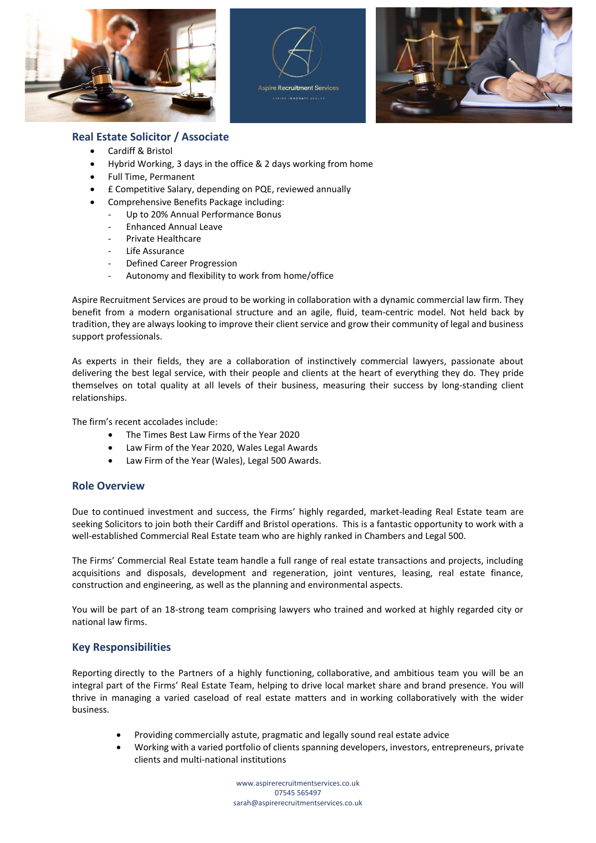





## **Real Estate Solicitor / Associate**

- Cardiff & Bristol
- Hybrid Working, 3 days in the office & 2 days working from home
- Full Time, Permanent
- £ Competitive Salary, depending on PQE, reviewed annually
- Comprehensive Benefits Package including:
	- Up to 20% Annual Performance Bonus
	- Enhanced Annual Leave
	- Private Healthcare
	- Life Assurance
	- Defined Career Progression
	- Autonomy and flexibility to work from home/office

Aspire Recruitment Services are proud to be working in collaboration with a dynamic commercial law firm. They benefit from a modern organisational structure and an agile, fluid, team-centric model. Not held back by tradition, they are always looking to improve their client service and grow their community of legal and business support professionals.

As experts in their fields, they are a collaboration of instinctively commercial lawyers, passionate about delivering the best legal service, with their people and clients at the heart of everything they do. They pride themselves on total quality at all levels of their business, measuring their success by long-standing client relationships.

The firm's recent accolades include:

- The Times Best Law Firms of the Year 2020
- Law Firm of the Year 2020, Wales Legal Awards
- Law Firm of the Year (Wales), Legal 500 Awards.

## **Role Overview**

Due to continued investment and success, the Firms' highly regarded, market-leading Real Estate team are seeking Solicitors to join both their Cardiff and Bristol operations.  This is a fantastic opportunity to work with a well-established Commercial Real Estate team who are highly ranked in Chambers and Legal 500.

The Firms' Commercial Real Estate team handle a full range of real estate transactions and projects, including acquisitions and disposals, development and regeneration, joint ventures, leasing, real estate finance, construction and engineering, as well as the planning and environmental aspects.

You will be part of an 18-strong team comprising lawyers who trained and worked at highly regarded city or national law firms.

## **Key Responsibilities**

Reporting directly to the Partners of a highly functioning, collaborative, and ambitious team you will be an integral part of the Firms' Real Estate Team, helping to drive local market share and brand presence. You will thrive in managing a varied caseload of real estate matters and in working collaboratively with the wider business.

- Providing commercially astute, pragmatic and legally sound real estate advice
- Working with a varied portfolio of clients spanning developers, investors, entrepreneurs, private clients and multi-national institutions

www.aspirerecruitmentservices.co.uk 07545 565497 sarah@aspirerecruitmentservices.co.uk